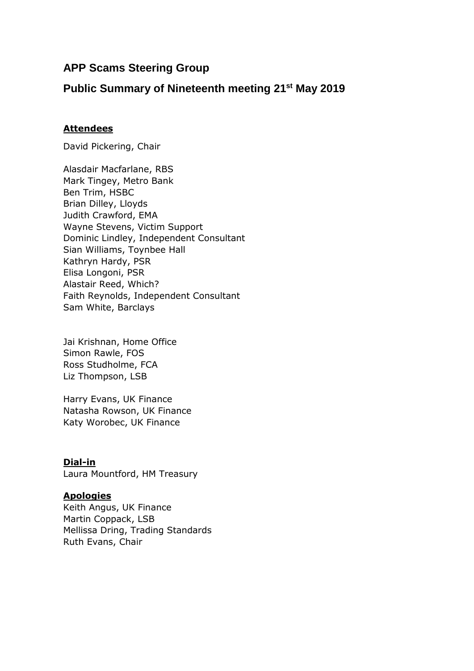# **APP Scams Steering Group**

# **Public Summary of Nineteenth meeting 21st May 2019**

# **Attendees**

David Pickering, Chair

Alasdair Macfarlane, RBS Mark Tingey, Metro Bank Ben Trim, HSBC Brian Dilley, Lloyds Judith Crawford, EMA Wayne Stevens, Victim Support Dominic Lindley, Independent Consultant Sian Williams, Toynbee Hall Kathryn Hardy, PSR Elisa Longoni, PSR Alastair Reed, Which? Faith Reynolds, Independent Consultant Sam White, Barclays

Jai Krishnan, Home Office Simon Rawle, FOS Ross Studholme, FCA Liz Thompson, LSB

Harry Evans, UK Finance Natasha Rowson, UK Finance Katy Worobec, UK Finance

**Dial-in** Laura Mountford, HM Treasury

### **Apologies**

Keith Angus, UK Finance Martin Coppack, LSB Mellissa Dring, Trading Standards Ruth Evans, Chair